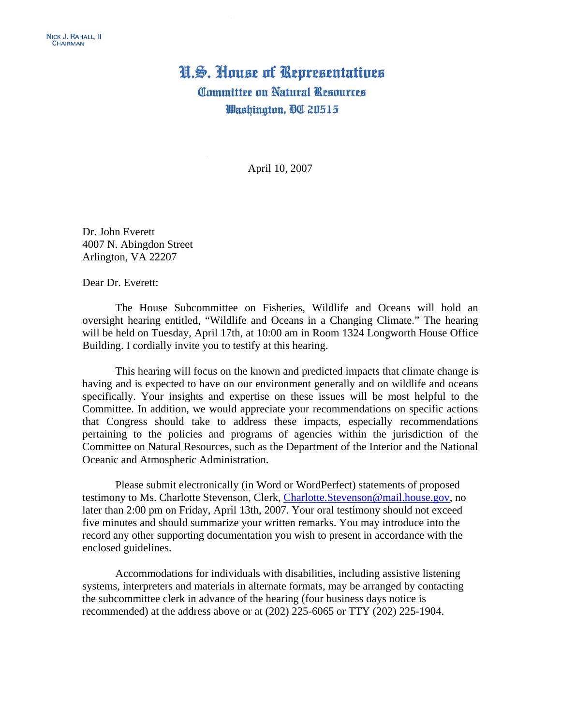## H.S. House of Representatives **Committee on Natural Resources** Washington, DC 20515

April 10, 2007

Dr. John Everett 4007 N. Abingdon Street Arlington, VA 22207

Dear Dr. Everett:

The House Subcommittee on Fisheries, Wildlife and Oceans will hold an oversight hearing entitled, "Wildlife and Oceans in a Changing Climate." The hearing will be held on Tuesday, April 17th, at 10:00 am in Room 1324 Longworth House Office Building. I cordially invite you to testify at this hearing.

This hearing will focus on the known and predicted impacts that climate change is having and is expected to have on our environment generally and on wildlife and oceans specifically. Your insights and expertise on these issues will be most helpful to the Committee. In addition, we would appreciate your recommendations on specific actions that Congress should take to address these impacts, especially recommendations pertaining to the policies and programs of agencies within the jurisdiction of the Committee on Natural Resources, such as the Department of the Interior and the National Oceanic and Atmospheric Administration.

 Please submit electronically (in Word or WordPerfect) statements of proposed testimony to Ms. Charlotte Stevenson, Clerk, [Charlotte.Stevenson@mail.house.gov,](mailto:Charlotte.Stevenson@mail.house.gov) no later than 2:00 pm on Friday, April 13th, 2007. Your oral testimony should not exceed five minutes and should summarize your written remarks. You may introduce into the record any other supporting documentation you wish to present in accordance with the enclosed guidelines.

Accommodations for individuals with disabilities, including assistive listening systems, interpreters and materials in alternate formats, may be arranged by contacting the subcommittee clerk in advance of the hearing (four business days notice is recommended) at the address above or at (202) 225-6065 or TTY (202) 225-1904.